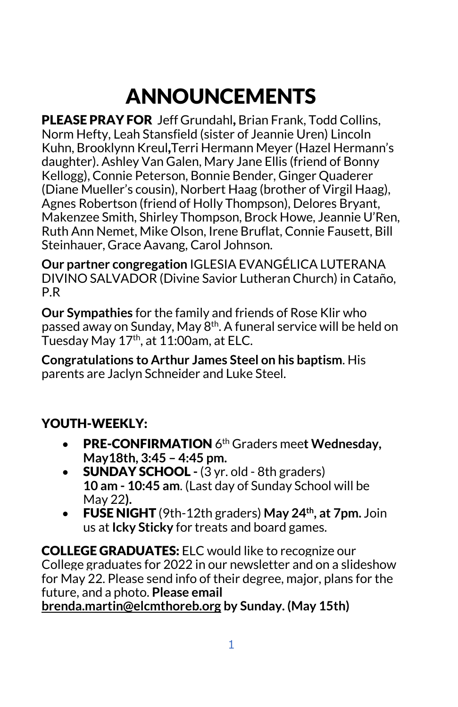# ANNOUNCEMENTS

PLEASE PRAY FOR Jeff Grundahl, Brian Frank, Todd Collins, Norm Hefty, Leah Stansfield (sister of Jeannie Uren) Lincoln Kuhn, Brooklynn Kreul,Terri Hermann Meyer (Hazel Hermann's daughter). Ashley Van Galen, Mary Jane Ellis (friend of Bonny Kellogg), Connie Peterson, Bonnie Bender, Ginger Quaderer (Diane Mueller's cousin), Norbert Haag (brother of Virgil Haag), Agnes Robertson (friend of Holly Thompson), Delores Bryant, Makenzee Smith, Shirley Thompson, Brock Howe, Jeannie U'Ren, Ruth Ann Nemet, Mike Olson, Irene Bruflat, Connie Fausett, Bill Steinhauer, Grace Aavang, Carol Johnson.

**Our partner congregation** IGLESIA EVANGÉLICA LUTERANA DIVINO SALVADOR (Divine Savior Lutheran Church) in Cataño, P.R

**Our Sympathies** for the family and friends of Rose Klir who passed away on Sunday, May 8th. A funeral service will be held on Tuesday May  $17<sup>th</sup>$ , at  $11:00$ am, at ELC.

**Congratulations to Arthur James Steel on his baptism**. His parents are Jaclyn Schneider and Luke Steel.

## YOUTH-WEEKLY:

- PRE-CONFIRMATION 6th Graders mee**t Wednesday, May18th, 3:45 – 4:45 pm.**
- SUNDAY SCHOOL **-** (3 yr. old 8th graders) **10 am - 10:45 am**. (Last day of Sunday School will be May 22**).**
- FUSE NIGHT (9th-12th graders) **May 24th, at 7pm.** Join us at **Icky Sticky** for treats and board games.

COLLEGE GRADUATES: ELC would like to recognize our College graduates for 2022 in our newsletter and on a slideshow for May 22. Please send info of their degree, major, plans for the future, and a photo. **Please email [brenda.martin@elcmthoreb.org](mailto:brenda.martin@elcmthoreb.org) by Sunday. (May 15th)**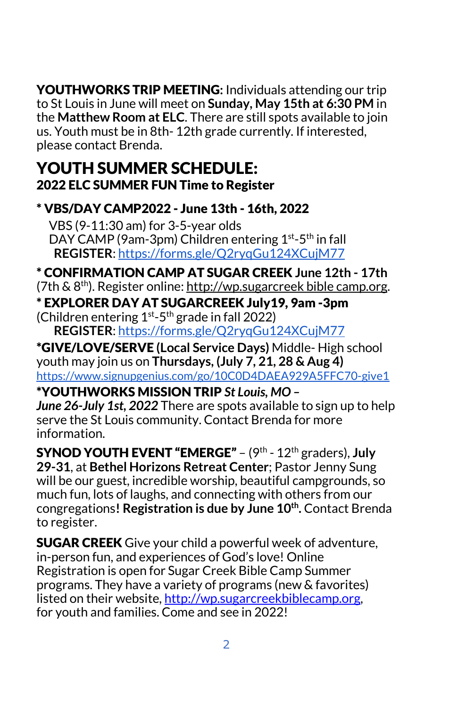YOUTHWORKS TRIP MEETING**:** Individuals attending our trip to St Louis in June will meet on **Sunday, May 15th at 6:30 PM** in the **Matthew Room at ELC**. There are still spots available to join us. Youth must be in 8th- 12th grade currently. If interested, please contact Brenda.

# YOUTH SUMMER SCHEDULE: 2022 ELC SUMMER FUN Time to Register

#### \* VBS/DAY CAMP2022 - June 13th - 16th, 2022

 VBS (9-11:30 am) for 3-5-year olds DAY CAMP (9am-3pm) Children entering 1<sup>st</sup>-5<sup>th</sup> in fall  **REGISTER**[: https://forms.gle/Q2ryqGu124XCujM77](https://forms.gle/Q2ryqGu124XCujM77)

\* CONFIRMATION CAMP AT SUGAR CREEK **June 12th - 17th** (7th  $\& 8^{th}$ ). Register online[:](http://wp.sugarcreekbiblecamp.org/) [http://wp.sugarcreek bible camp.org.](http://wp.sugarcreekbiblecamp.org/) \* EXPLORER DAY AT SUGARCREEK July19, 9am -3pm

(Children entering  $1^{st}$ -5<sup>th</sup> grade in fall 2022)

 **REGISTER**[: https://forms.gle/Q2ryqGu124XCujM77](https://forms.gle/Q2ryqGu124XCujM77)

\*GIVE/LOVE/SERVE **(Local Service Days)** Middle- High school youth may join us on **Thursdays, (July 7, 21, 28 & Aug 4)** <https://www.signupgenius.com/go/10C0D4DAEA929A5FFC70-give1>

\*YOUTHWORKS MISSION TRIP *St Louis, MO – June 26-July 1st, 2022* There are spots available to sign up to help serve the St Louis community. Contact Brenda for more information.

SYNOD YOUTH EVENT "EMERGE" – (9th - 12th graders), **July 29-31**, at **Bethel Horizons Retreat Center**; Pastor Jenny Sung will be our guest, incredible worship, beautiful campgrounds, so much fun, lots of laughs, and connecting with others from our congregations**! Registration is due by June 10th.** Contact Brenda to register.

**SUGAR CREEK** Give your child a powerful week of adventure, in-person fun, and experiences of God's love! Online Registration is open for Sugar Creek Bible Camp Summer programs. They have a variety of programs (new & favorites) listed on their website, [http://wp.sugarcreekbiblecamp.org,](http://wp.sugarcreekbiblecamp.org/) for youth and families. Come and see in 2022!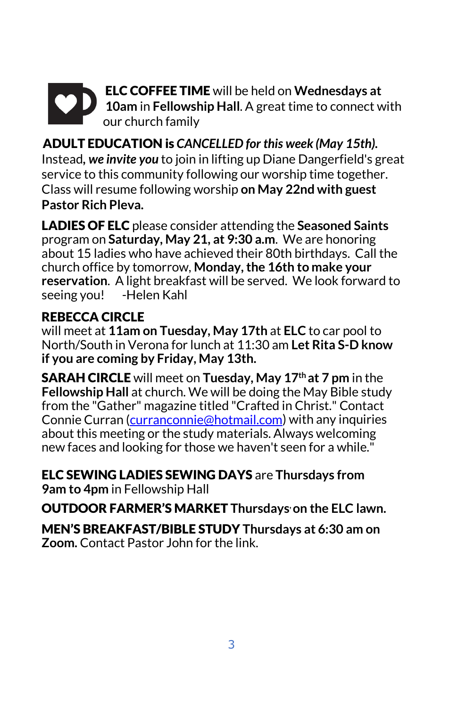# ELC COFFEE TIME will be held on **Wednesdays at 10am** in **Fellowship Hall**. A great time to connect with our church family

ADULT EDUCATION is *CANCELLED for this week (May 15th).* Instead*, we invite you* to join in lifting up Diane Dangerfield's great service to this community following our worship time together. Class will resume following worship **on May 22nd with guest Pastor Rich Pleva.** 

LADIES OF ELC please consider attending the **Seasoned Saints** program on **Saturday, May 21, at 9:30 a.m**. We are honoring about 15 ladies who have achieved their 80th birthdays. Call the church office by tomorrow, **Monday, the 16th to make your reservation**. A light breakfast will be served. We look forward to seeing you! -Helen Kahl

## REBECCA CIRCLE

will meet at **11am on Tuesday, May 17th** at **ELC** to car pool to North/South in Verona for lunch at 11:30 am **Let Rita S-D know if you are coming by Friday, May 13th.** 

SARAH CIRCLE will meet on **Tuesday, May 17th at 7 pm** in the **Fellowship Hall** at church. We will be doing the May Bible study from the "Gather" magazine titled "Crafted in Christ." Contact Connie Curran [\(curranconnie@hotmail.com\)](mailto:curranconnie@hotmail.com) with any inquiries about this meeting or the study materials. Always welcoming new faces and looking for those we haven't seen for a while."

ELC SEWING LADIES SEWING DAYS are **Thursdays from 9am to 4pm** in Fellowship Hall

OUTDOOR FARMER'S MARKET **Thursdays, on the ELC lawn.**

MEN'S BREAKFAST/BIBLE STUDY **Thursdays at 6:30 am on Zoom.** Contact Pastor John for the link.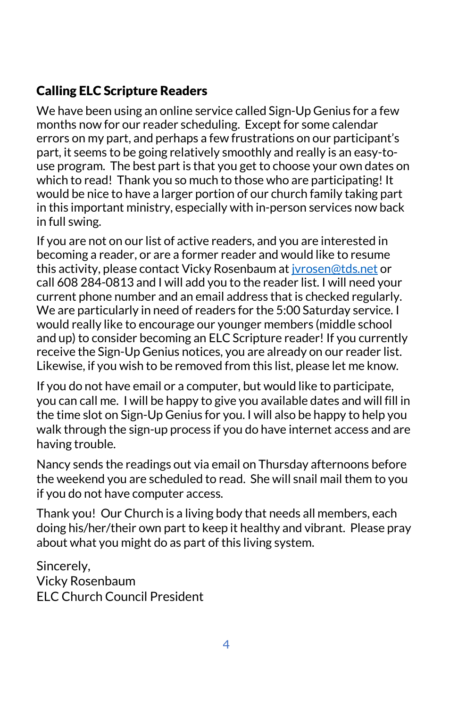## Calling ELC Scripture Readers

We have been using an online service called Sign-Up Genius for a few months now for our reader scheduling. Except for some calendar errors on my part, and perhaps a few frustrations on our participant's part, it seems to be going relatively smoothly and really is an easy-touse program. The best part is that you get to choose your own dates on which to read! Thank you so much to those who are participating! It would be nice to have a larger portion of our church family taking part in this important ministry, especially with in-person services now back in full swing.

If you are not on our list of active readers, and you are interested in becoming a reader, or are a former reader and would like to resume this activity, please contact Vicky Rosenbaum a[t jvrosen@tds.net](mailto:jvrosen@tds.net) or call 608 284-0813 and I will add you to the reader list. I will need your current phone number and an email address that is checked regularly. We are particularly in need of readers for the 5:00 Saturday service. I would really like to encourage our younger members (middle school and up) to consider becoming an ELC Scripture reader! If you currently receive the Sign-Up Genius notices, you are already on our reader list. Likewise, if you wish to be removed from this list, please let me know.

If you do not have email or a computer, but would like to participate, you can call me. I will be happy to give you available dates and will fill in the time slot on Sign-Up Genius for you. I will also be happy to help you walk through the sign-up process if you do have internet access and are having trouble.

Nancy sends the readings out via email on Thursday afternoons before the weekend you are scheduled to read. She will snail mail them to you if you do not have computer access.

Thank you! Our Church is a living body that needs all members, each doing his/her/their own part to keep it healthy and vibrant. Please pray about what you might do as part of this living system.

Sincerely, Vicky Rosenbaum ELC Church Council President